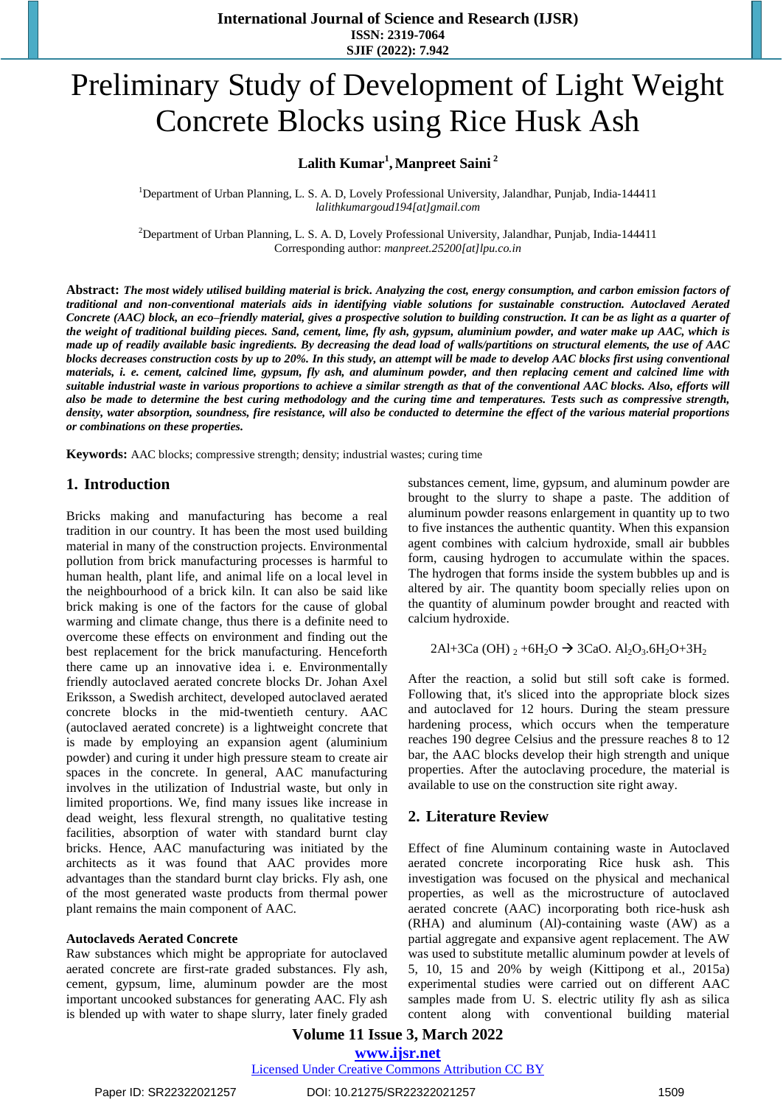# Preliminary Study of Development of Light Weight Concrete Blocks using Rice Husk Ash

## $L$ alith  $Kumar<sup>1</sup>$ , Manpreet Saini<sup>2</sup>

<sup>1</sup>Department of Urban Planning, L. S. A. D, Lovely Professional University, Jalandhar, Punjab, India-144411 *[lalithkumargoud194\[at\]gmail.com](mailto:lalithkumargoud194@gmail.com)*

<sup>2</sup>Department of Urban Planning, L. S. A. D, Lovely Professional University, Jalandhar, Punjab, India-144411 Corresponding author: *manpreet.25200[at]lpu.co.in*

Abstract: The most widely utilised building material is brick. Analyzing the cost, energy consumption, and carbon emission factors of *traditional and non-conventional materials aids in identifying viable solutions for sustainable construction. Autoclaved Aerated* Concrete (AAC) block, an eco-friendly material, gives a prospective solution to building construction. It can be as light as a quarter of *the weight of traditional building pieces. Sand, cement, lime, fly ash, gypsum, aluminium powder, and water make up AAC, which is* made up of readily available basic ingredients. By decreasing the dead load of walls/partitions on structural elements, the use of AAC blocks decreases construction costs by up to 20%. In this study, an attempt will be made to develop AAC blocks first using conventional *materials, i. e. cement, calcined lime, gypsum, fly ash, and aluminum powder, and then replacing cement and calcined lime with* suitable industrial waste in various proportions to achieve a similar strength as that of the conventional AAC blocks. Also, efforts will also be made to determine the best curing methodology and the curing time and temperatures. Tests such as compressive strength, density, water absorption, soundness, fire resistance, will also be conducted to determine the effect of the various material proportions *or combinations on these properties.* 

**Keywords:** AAC blocks; compressive strength; density; industrial wastes; curing time

### **1. Introduction**

Bricks making and manufacturing has become a real tradition in our country. It has been the most used building material in many of the construction projects. Environmental pollution from brick manufacturing processes is harmful to human health, plant life, and animal life on a local level in the neighbourhood of a brick kiln. It can also be said like brick making is one of the factors for the cause of global warming and climate change, thus there is a definite need to overcome these effects on environment and finding out the best replacement for the brick manufacturing. Henceforth there came up an innovative idea i. e. Environmentally friendly autoclaved aerated concrete blocks Dr. Johan Axel Eriksson, a Swedish architect, developed autoclaved aerated concrete blocks in the mid-twentieth century. AAC (autoclaved aerated concrete) is a lightweight concrete that is made by employing an expansion agent (aluminium powder) and curing it under high pressure steam to create air spaces in the concrete. In general, AAC manufacturing involves in the utilization of Industrial waste, but only in limited proportions. We, find many issues like increase in dead weight, less flexural strength, no qualitative testing facilities, absorption of water with standard burnt clay bricks. Hence, AAC manufacturing was initiated by the architects as it was found that AAC provides more advantages than the standard burnt clay bricks. Fly ash, one of the most generated waste products from thermal power plant remains the main component of AAC.

#### **Autoclaveds Aerated Concrete**

Raw substances which might be appropriate for autoclaved aerated concrete are first-rate graded substances. Fly ash, cement, gypsum, lime, aluminum powder are the most important uncooked substances for generating AAC. Fly ash is blended up with water to shape slurry, later finely graded substances cement, lime, gypsum, and aluminum powder are brought to the slurry to shape a paste. The addition of aluminum powder reasons enlargement in quantity up to two to five instances the authentic quantity. When this expansion agent combines with calcium hydroxide, small air bubbles form, causing hydrogen to accumulate within the spaces. The hydrogen that forms inside the system bubbles up and is altered by air. The quantity boom specially relies upon on the quantity of aluminum powder brought and reacted with calcium hydroxide.

2Al+3Ca (OH)  $_2$  +6H<sub>2</sub>O  $\rightarrow$  3CaO. Al<sub>2</sub>O<sub>3</sub>.6H<sub>2</sub>O+3H<sub>2</sub>

After the reaction, a solid but still soft cake is formed. Following that, it's sliced into the appropriate block sizes and autoclaved for 12 hours. During the steam pressure hardening process, which occurs when the temperature reaches 190 degree Celsius and the pressure reaches 8 to 12 bar, the AAC blocks develop their high strength and unique properties. After the autoclaving procedure, the material is available to use on the construction site right away.

### **2. Literature Review**

Effect of fine Aluminum containing waste in Autoclaved aerated concrete incorporating Rice husk ash. This investigation was focused on the physical and mechanical properties, as well as the microstructure of autoclaved aerated concrete (AAC) incorporating both rice-husk ash (RHA) and aluminum (Al)-containing waste (AW) as a partial aggregate and expansive agent replacement. The AW was used to substitute metallic aluminum powder at levels of 5, 10, 15 and 20% by weigh (Kittipong et al., 2015a) experimental studies were carried out on different AAC samples made from U. S. electric utility fly ash as silica content along with conventional building material

**Volume 11 Issue 3, March 2022 www.ijsr.net**

Licensed Under Creative Commons Attribution CC BY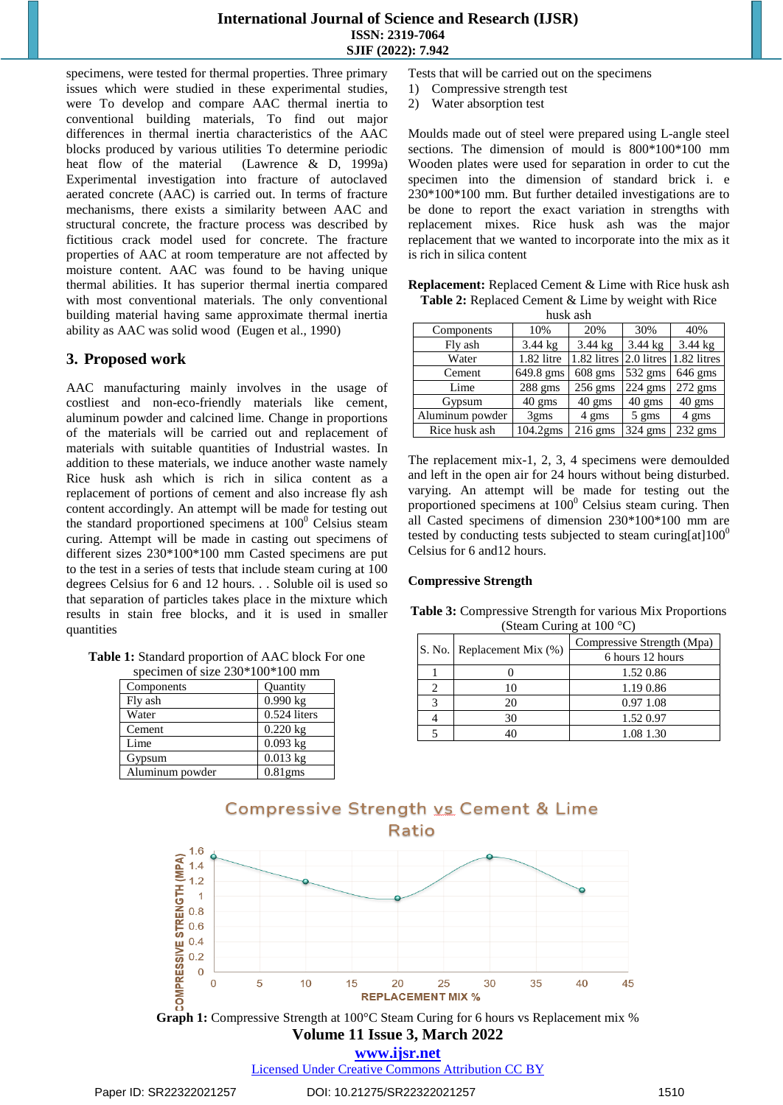specimens, were tested for thermal properties. Three primary issues which were studied in these experimental studies, were To develop and compare AAC thermal inertia to conventional building materials, To find out major differences in thermal inertia characteristics of the AAC blocks produced by various utilities To determine periodic heat flow of the material (Lawrence & D, 1999a) Experimental investigation into fracture of autoclaved aerated concrete (AAC) is carried out. In terms of fracture mechanisms, there exists a similarity between AAC and structural concrete, the fracture process was described by fictitious crack model used for concrete. The fracture properties of AAC at room temperature are not affected by moisture content. AAC was found to be having unique thermal abilities. It has superior thermal inertia compared with most conventional materials. The only conventional building material having same approximate thermal inertia ability as AAC was solid wood (Eugen et al., 1990)

## **3. Proposed work**

AAC manufacturing mainly involves in the usage of costliest and non-eco-friendly materials like cement, aluminum powder and calcined lime. Change in proportions of the materials will be carried out and replacement of materials with suitable quantities of Industrial wastes. In addition to these materials, we induce another waste namely Rice husk ash which is rich in silica content as a replacement of portions of cement and also increase fly ash content accordingly. An attempt will be made for testing out the standard proportioned specimens at  $100<sup>0</sup>$  Celsius steam curing. Attempt will be made in casting out specimens of different sizes 230\*100\*100 mm Casted specimens are put to the test in a series of tests that include steam curing at 100 degrees Celsius for 6 and 12 hours. . . Soluble oil is used so that separation of particles takes place in the mixture which results in stain free blocks, and it is used in smaller quantities

**Table 1:** Standard proportion of AAC block For one pecimen of size  $230*100*100$  mm

| specified of size $250, 100, 100$ filled |                |
|------------------------------------------|----------------|
| Components                               | Quantity       |
| Fly ash                                  | 0.990 kg       |
| Water                                    | $0.524$ liters |
| Cement                                   | $0.220$ kg     |
| Lime                                     | $0.093$ kg     |
| Gypsum                                   | $0.013$ kg     |
| Aluminum powder                          | $0.81$ gms     |

Tests that will be carried out on the specimens

- 1) Compressive strength test
- 2) Water absorption test

Moulds made out of steel were prepared using L-angle steel sections. The dimension of mould is 800\*100\*100 mm Wooden plates were used for separation in order to cut the specimen into the dimension of standard brick i. e 230\*100\*100 mm. But further detailed investigations are to be done to report the exact variation in strengths with replacement mixes. Rice husk ash was the major replacement that we wanted to incorporate into the mix as it is rich in silica content

| <b>Replacement:</b> Replaced Cement & Lime with Rice husk ash |
|---------------------------------------------------------------|
| <b>Table 2:</b> Replaced Cement & Lime by weight with Rice    |
| huelz och                                                     |

| пиэл аэп        |                   |                   |                   |                   |
|-----------------|-------------------|-------------------|-------------------|-------------------|
| Components      | 10%               | 20%               | 30%               | 40%               |
| Fly ash         | $3.44$ kg         | $3.44 \text{ kg}$ | $3.44 \text{ kg}$ | $3.44 \text{ kg}$ |
| Water           | 1.82 litre        | 1.82 litres       | 2.0 litres        | 1.82 litres       |
| Cement          | 649.8 gms         | $608$ gms         | 532 gms           | $646$ gms         |
| Lime            | $288$ gms         | $256$ gms         | $224$ gms         | 272 gms           |
| Gypsum          | $40 \text{ gms}$  | $40 \text{ gms}$  | $40 \text{ gms}$  | $40 \text{ gms}$  |
| Aluminum powder | 3 <sub>g</sub> ms | 4 gms             | $5 \text{ gms}$   | 4 gms             |
| Rice husk ash   | 104.2gms          | $216$ gms         | 324 gms           | $232$ gms         |

The replacement mix-1, 2, 3, 4 specimens were demoulded and left in the open air for 24 hours without being disturbed. varying. An attempt will be made for testing out the proportioned specimens at  $100^{\circ}$  Celsius steam curing. Then all Casted specimens of dimension 230\*100\*100 mm are tested by conducting tests subjected to steam curing[at] $100<sup>0</sup>$ Celsius for 6 and12 hours.

#### **Compressive Strength**

**Table 3:** Compressive Strength for various Mix Proportions (Steam Curing at 100 °C)

| S. No.   Replacement Mix (%) | Compressive Strength (Mpa) |
|------------------------------|----------------------------|
|                              | 6 hours 12 hours           |
|                              | 1.52 0.86                  |
| 10                           | 1.19 0.86                  |
| 20                           | 0.97 1.08                  |
| 30                           | 1.52 0.97                  |
|                              | 1.08 1.30                  |



**Volume 11 Issue 3, March 2022 Graph 1:** Compressive Strength at 100°C Steam Curing for 6 hours vs Replacement mix %

**www.ijsr.net**

Licensed Under Creative Commons Attribution CC BY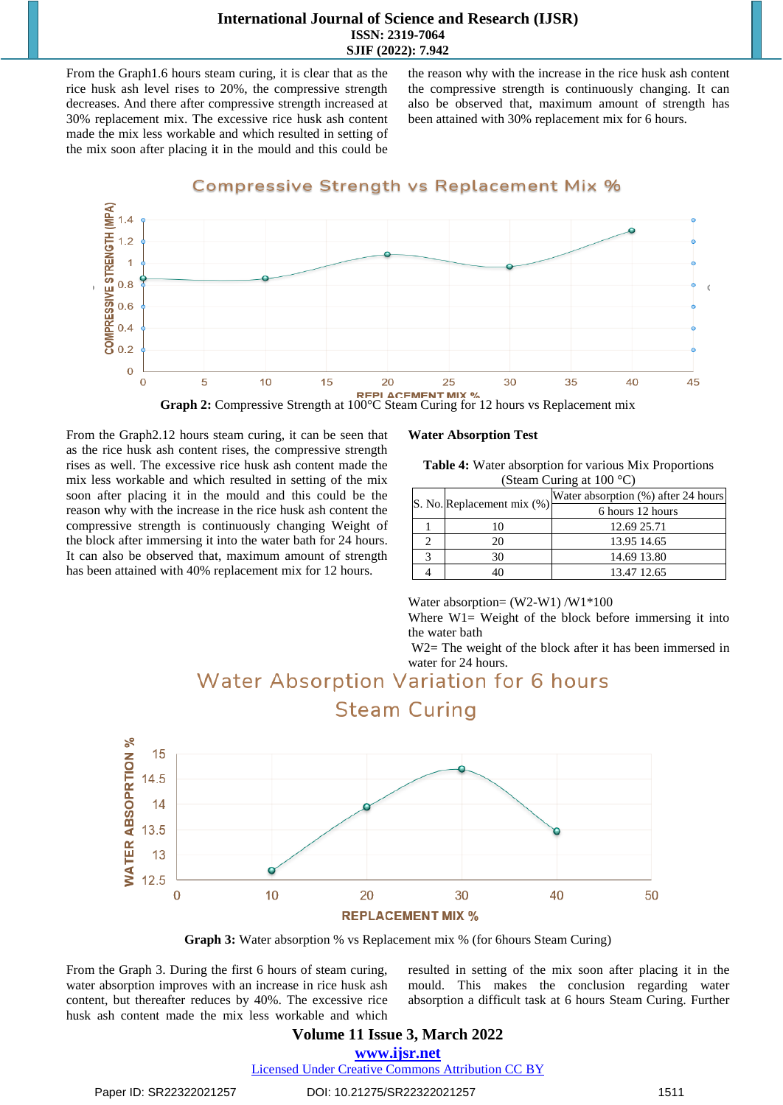#### **International Journal of Science and Research (IJSR) ISSN: 2319-7064 SJIF (2022): 7.942**

From the Graph1.6 hours steam curing, it is clear that as the rice husk ash level rises to 20%, the compressive strength decreases. And there after compressive strength increased at 30% replacement mix. The excessive rice husk ash content made the mix less workable and which resulted in setting of the mix soon after placing it in the mould and this could be

the reason why with the increase in the rice husk ash content the compressive strength is continuously changing. It can also be observed that, maximum amount of strength has been attained with 30% replacement mix for 6 hours.



**Graph 2:** Compressive Strength at 100°C Steam Curing for 12 hours vs Replacement mix

From the Graph2.12 hours steam curing, it can be seen that as the rice husk ash content rises, the compressive strength rises as well. The excessive rice husk ash content made the mix less workable and which resulted in setting of the mix soon after placing it in the mould and this could be the reason why with the increase in the rice husk ash content the compressive strength is continuously changing Weight of the block after immersing it into the water bath for 24 hours. It can also be observed that, maximum amount of strength has been attained with 40% replacement mix for 12 hours.

#### **Water Absorption Test**

| <b>Table 4:</b> Water absorption for various Mix Proportions |
|--------------------------------------------------------------|
| (Steam Curing at $100^{\circ}$ C)                            |

| S. No. Replacement mix (%) | Water absorption (%) after 24 hours |
|----------------------------|-------------------------------------|
|                            | 6 hours 12 hours                    |
|                            | 12.69 25.71                         |
| 20.                        | 13.95 14.65                         |
| 30                         | 14.69 13.80                         |
|                            | 13.47 12.65                         |

Water absorption= (W2-W1) /W1\*100

Where W1= Weight of the block before immersing it into the water bath

W<sub>2</sub> The weight of the block after it has been immersed in water for 24 hours.



**Graph 3:** Water absorption % vs Replacement mix % (for 6hours Steam Curing)

From the Graph 3. During the first 6 hours of steam curing, water absorption improves with an increase in rice husk ash content, but thereafter reduces by 40%. The excessive rice husk ash content made the mix less workable and which resulted in setting of the mix soon after placing it in the mould. This makes the conclusion regarding water absorption a difficult task at 6 hours Steam Curing. Further

## **Volume 11 Issue 3, March 2022**

**www.ijsr.net**

Licensed Under Creative Commons Attribution CC BY